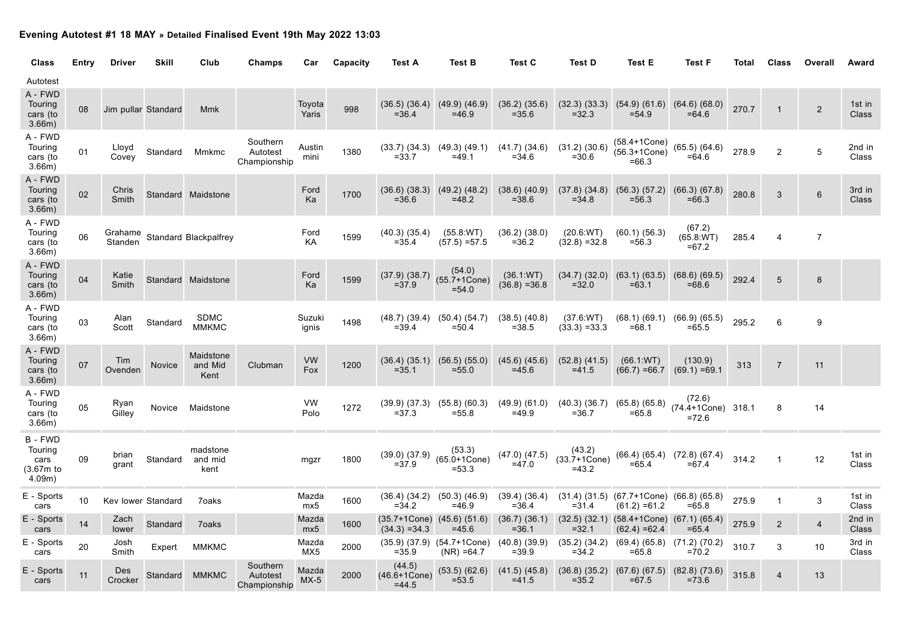## **Evening Autotest #1 18 MAY » Detailed Finalised Event 19th May 2022 13:03**

| Class                                           | Entry | <b>Driver</b>      | <b>Skill</b>        | Club                         | Champs                               | Car               | Capacity | Test A                                              | <b>Test B</b>                                     | <b>Test C</b>                 | <b>Test D</b>                         | <b>Test E</b>                                                            | <b>Test F</b>                            | Total | Class          | Overall        | Award                  |
|-------------------------------------------------|-------|--------------------|---------------------|------------------------------|--------------------------------------|-------------------|----------|-----------------------------------------------------|---------------------------------------------------|-------------------------------|---------------------------------------|--------------------------------------------------------------------------|------------------------------------------|-------|----------------|----------------|------------------------|
| Autotest                                        |       |                    |                     |                              |                                      |                   |          |                                                     |                                                   |                               |                                       |                                                                          |                                          |       |                |                |                        |
| A - FWD<br>Touring<br>cars (to<br>3.66m)        | 08    |                    | Jim pullar Standard | <b>Mmk</b>                   |                                      | Toyota<br>Yaris   | 998      | $(36.5)$ $(36.4)$<br>$= 36.4$                       | $(49.9)$ $(46.9)$<br>$=46.9$                      | $(36.2)$ $(35.6)$<br>$= 35.6$ | $= 32.3$                              | $(32.3)$ $(33.3)$ $(54.9)$ $(61.6)$<br>$= 54.9$                          | $(64.6)$ $(68.0)$<br>$=64.6$             | 270.7 | -1             | $\overline{2}$ | 1st in<br>Class        |
| A - FWD<br>Touring<br>cars (to<br>3.66m)        | 01    | Lloyd<br>Covev     | Standard            | Mmkmc                        | Southern<br>Autotest<br>Championship | Austin<br>mini    | 1380     | $(33.7)$ $(34.3)$<br>$= 33.7$                       | $(49.3)$ $(49.1)$<br>$=49.1$                      | $(41.7)$ $(34.6)$<br>$= 34.6$ | (31.2) (30.6)<br>$= 30.6$             | $(58.4 + 1Cone)$<br>$(56.3 + 1Cone)$<br>$=66.3$                          | $(65.5)$ $(64.6)$<br>$=64.6$             | 278.9 | $\overline{c}$ | 5              | 2nd in<br>Class        |
| A - FWD<br>Touring<br>cars (to<br>3.66m)        | 02    | Chris<br>Smith     |                     | Standard Maidstone           |                                      | Ford<br>Ka        | 1700     | $(36.6)$ $(38.3)$<br>$= 36.6$                       | $(49.2)$ $(48.2)$<br>$=48.2$                      | $(38.6)$ $(40.9)$<br>$= 38.6$ | $(37.8)$ $(34.8)$<br>$= 34.8$         | (56.3) (57.2)<br>$= 56.3$                                                | (66.3) (67.8)<br>$=66.3$                 | 280.8 | 3              | $6\phantom{1}$ | 3rd in<br><b>Class</b> |
| A - FWD<br>Touring<br>cars (to<br>3.66m)        | 06    | Grahame<br>Standen |                     | Standard Blackpalfrey        |                                      | Ford<br>KA        | 1599     | $(40.3)$ $(35.4)$<br>$= 35.4$                       | (55.8:WT)<br>$(57.5) = 57.5$                      | $(36.2)$ $(38.0)$<br>$= 36.2$ | (20.6:WT)<br>$(32.8) = 32.8$          | $(60.1)$ $(56.3)$<br>$= 56.3$                                            | (67.2)<br>(65.8 WT)<br>$=67.2$           | 285.4 | $\overline{4}$ | $\overline{7}$ |                        |
| A - FWD<br>Touring<br>cars (to<br>3.66m)        | 04    | Katie<br>Smith     |                     | Standard Maidstone           |                                      | Ford<br>Ka        | 1599     | $(37.9)$ $(38.7)$<br>$= 37.9$                       | (54.0)<br>$(55.7 + 1Cone)$<br>$= 54.0$            | (36.1 WT)<br>$(36.8) = 36.8$  | $(34.7)$ $(32.0)$<br>$= 32.0$         | $(63.1)$ $(63.5)$<br>$=63.1$                                             | $(68.6)$ $(69.5)$<br>$=68.6$             | 292.4 | 5              | 8              |                        |
| A - FWD<br>Touring<br>cars (to<br>3.66m)        | 03    | Alan<br>Scott      | Standard            | <b>SDMC</b><br><b>MMKMC</b>  |                                      | Suzuki<br>ignis   | 1498     | $(48.7)$ $(39.4)$ $(50.4)$ $(54.7)$<br>$= 39.4$     | $= 50.4$                                          | $(38.5)$ $(40.8)$<br>$= 38.5$ | $(37.6)$ WT)<br>$(33.3) = 33.3$       | $(68.1)$ $(69.1)$ $(66.9)$ $(65.5)$<br>$=68.1$                           | $=65.5$                                  | 295.2 | 6              | 9              |                        |
| A - FWD<br>Touring<br>cars (to<br>3.66m)        | 07    | Tim<br>Ovenden     | <b>Novice</b>       | Maidstone<br>and Mid<br>Kent | Clubman                              | <b>VW</b><br>Fox  | 1200     | $(36.4)$ $(35.1)$ $(56.5)$ $(55.0)$<br>$= 35.1$     | $=55.0$                                           | $(45.6)$ $(45.6)$<br>$=45.6$  | $(52.8)$ $(41.5)$<br>$= 41.5$         | (66.1:WT)<br>$(66.7) = 66.7$                                             | (130.9)<br>$(69.1) = 69.1$               | 313   | $\overline{7}$ | 11             |                        |
| A - FWD<br>Touring<br>cars (to<br>3.66m)        | 05    | Ryan<br>Gillev     | Novice              | Maidstone                    |                                      | <b>VW</b><br>Polo | 1272     | $(39.9)$ $(37.3)$ $(55.8)$ $(60.3)$<br>$= 37.3$     | $= 55.8$                                          | $(49.9)$ $(61.0)$<br>$=49.9$  | $(40.3)$ $(36.7)$<br>$= 36.7$         | $(65.8)$ $(65.8)$<br>$=65.8$                                             | (72.6)<br>(74.4+1Cone) 318.1<br>$= 72.6$ |       | 8              | 14             |                        |
| B - FWD<br>Touring<br>cars<br>(3.67m)<br>4.09m) | 09    | brian<br>grant     | Standard            | madstone<br>and mid<br>kent  |                                      | mgzr              | 1800     | $(39.0)$ $(37.9)$<br>$= 37.9$                       | (53.3)<br>$(65.0 + 1Cone)$<br>$= 53.3$            | $(47.0)$ $(47.5)$<br>$=47.0$  | (43.2)<br>$(33.7 + 1Cone)$<br>$=43.2$ | (66.4) (65.4) (72.8) (67.4)<br>$=65.4$                                   | $= 67.4$                                 | 314.2 | $\mathbf{1}$   | 12             | 1st in<br>Class        |
| E - Sports<br>cars                              | 10    | Kev lower Standard |                     | 7oaks                        |                                      | Mazda<br>mx5      | 1600     | (36.4) (34.2) (50.3) (46.9)<br>$= 34.2$             | $=46.9$                                           | (39.4) (36.4)<br>$= 36.4$     | $= 31.4$                              | $(31.4)$ $(31.5)$ $(67.7 + 1$ Cone) $(66.8)$ $(65.8)$<br>$(61.2) = 61.2$ | $=65.8$                                  | 275.9 | $\mathbf{1}$   | $\mathbf{3}$   | 1st in<br>Class        |
| E - Sports<br>cars                              | 14    | Zach<br>lower      | Standard            | 7 <sub>oaks</sub>            |                                      | Mazda<br>mx5      | 1600     | $(35.7+1Cone)$ $(45.6)$ $(51.6)$<br>$(34.3) = 34.3$ | $=45.6$                                           | $(36.7)$ $(36.1)$<br>$= 36.1$ | $= 32.1$                              | $(32.5)$ $(32.1)$ $(58.4+1Cone)$ $(67.1)$ $(65.4)$<br>$(62.4) = 62.4$    | $=65.4$                                  | 275.9 | $\overline{2}$ | $\overline{4}$ | 2nd in<br><b>Class</b> |
| E - Sports<br>cars                              | 20    | Josh<br>Smith      | Expert              | <b>MMKMC</b>                 |                                      | Mazda<br>MX5      | 2000     | $= 35.9$                                            | $(35.9)$ $(37.9)$ $(54.7+1Cone)$<br>$(NR) = 64.7$ | $(40.8)$ $(39.9)$<br>$= 39.9$ | $(35.2)$ $(34.2)$<br>$= 34.2$         | (69.4) (65.8) (71.2) (70.2)<br>$=65.8$                                   | $=70.2$                                  | 310.7 | 3              | 10             | 3rd in<br>Class        |
| E - Sports<br>cars                              | 11    | Des<br>Crocker     | Standard            | <b>MMKMC</b>                 | Southern<br>Autotest<br>Championship | Mazda<br>$MX-5$   | 2000     | (44.5)<br>$(46.6 + 1Cone)$<br>$=44.5$               | $(53.5)$ $(62.6)$<br>$= 53.5$                     | $(41.5)$ $(45.8)$<br>$= 41.5$ | $(36.8)$ $(35.2)$<br>$= 35.2$         | $(67.6)$ $(67.5)$ $(82.8)$ $(73.6)$<br>$= 67.5$                          | $= 73.6$                                 | 315.8 | $\overline{4}$ | 13             |                        |